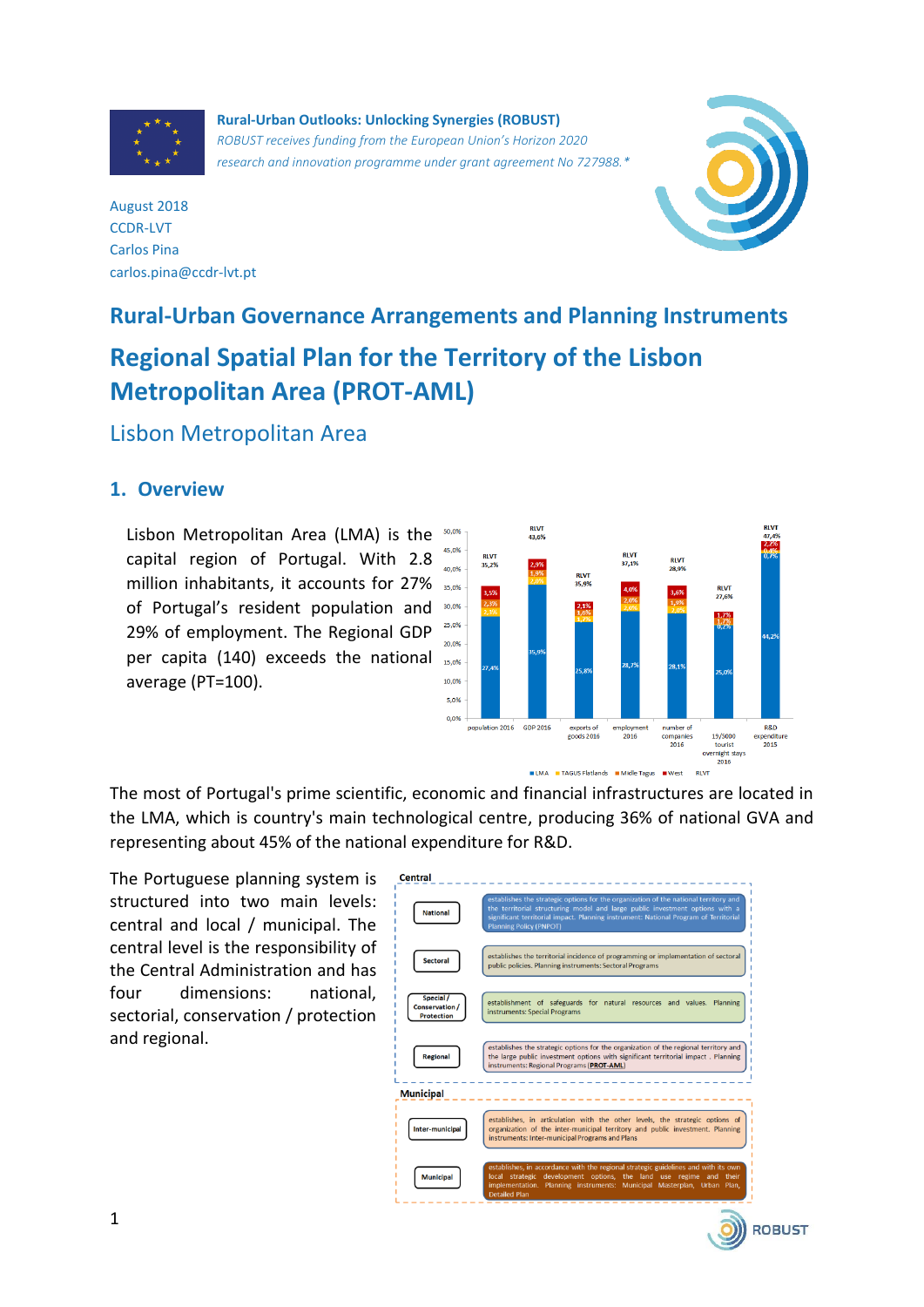

**Rural-Urban Outlooks: Unlocking Synergies (ROBUST)** *ROBUST receives funding from the European Union's Horizon 2020 research and innovation programme under grant agreement No 727988.\**



August 2018 CCDR-LVT Carlos Pina carlos.pina@ccdr-lvt.pt

# **Rural-Urban Governance Arrangements and Planning Instruments Regional Spatial Plan for the Territory of the Lisbon Metropolitan Area (PROT-AML)**

Lisbon Metropolitan Area

#### **1. Overview**

Lisbon Metropolitan Area (LMA) is the  $50,0\%$ capital region of Portugal. With 2.8 million inhabitants, it accounts for 27% of Portugal's resident population and 30,0% 29% of employment. The Regional GDP per capita (140) exceeds the national average (PT=100).



The most of Portugal's prime scientific, economic and financial infrastructures are located in the LMA, which is country's main technological centre, producing 36% of national GVA and representing about 45% of the national expenditure for R&D.

The Portuguese planning system is structured into two main levels: central and local / municipal. The central level is the responsibility of the Central Administration and has four dimensions: national, sectorial, conservation / protection and regional.



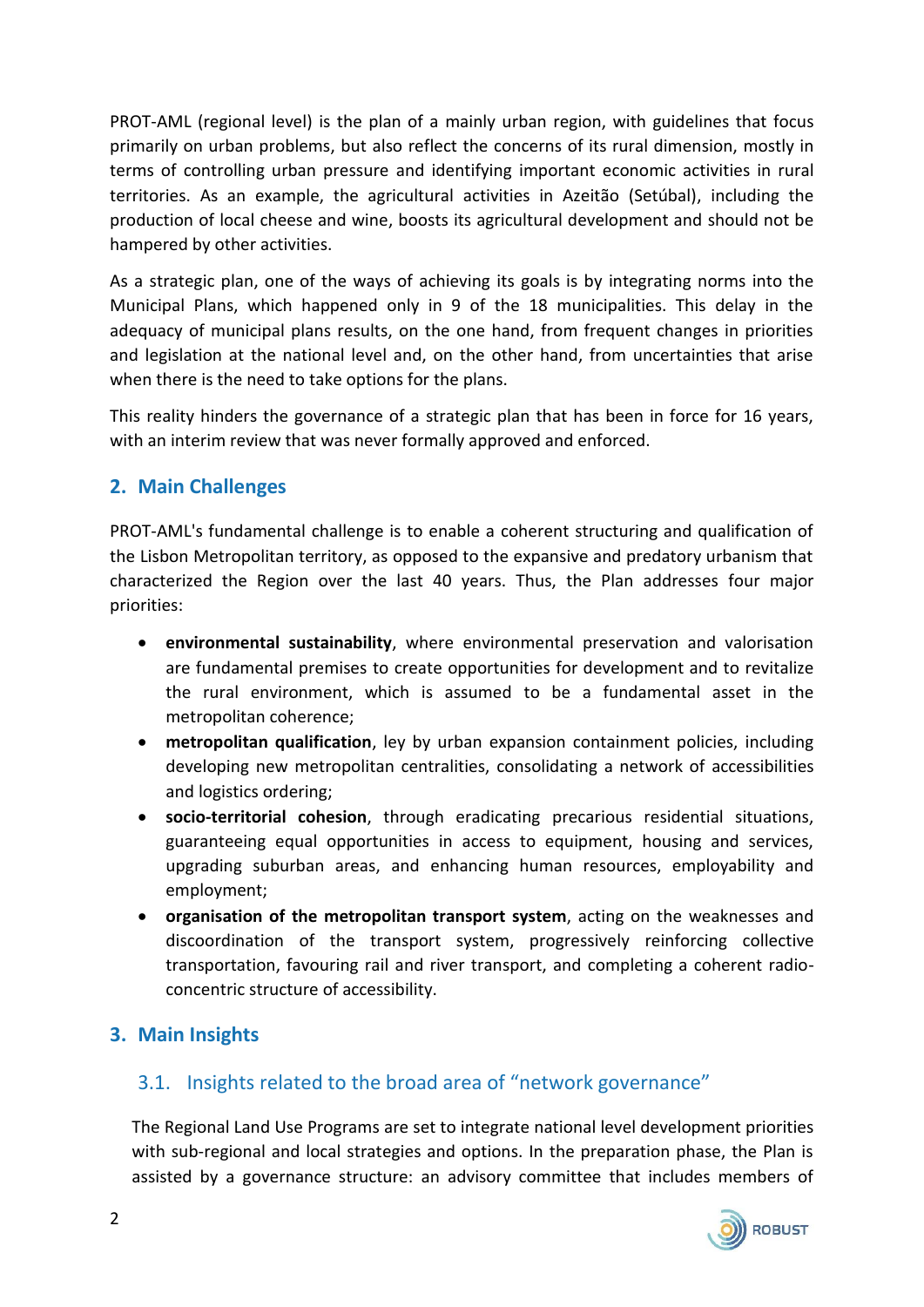PROT-AML (regional level) is the plan of a mainly urban region, with guidelines that focus primarily on urban problems, but also reflect the concerns of its rural dimension, mostly in terms of controlling urban pressure and identifying important economic activities in rural territories. As an example, the agricultural activities in Azeitão (Setúbal), including the production of local cheese and wine, boosts its agricultural development and should not be hampered by other activities.

As a strategic plan, one of the ways of achieving its goals is by integrating norms into the Municipal Plans, which happened only in 9 of the 18 municipalities. This delay in the adequacy of municipal plans results, on the one hand, from frequent changes in priorities and legislation at the national level and, on the other hand, from uncertainties that arise when there is the need to take options for the plans.

This reality hinders the governance of a strategic plan that has been in force for 16 years, with an interim review that was never formally approved and enforced.

## **2. Main Challenges**

PROT-AML's fundamental challenge is to enable a coherent structuring and qualification of the Lisbon Metropolitan territory, as opposed to the expansive and predatory urbanism that characterized the Region over the last 40 years. Thus, the Plan addresses four major priorities:

- **environmental sustainability**, where environmental preservation and valorisation are fundamental premises to create opportunities for development and to revitalize the rural environment, which is assumed to be a fundamental asset in the metropolitan coherence;
- **metropolitan qualification**, ley by urban expansion containment policies, including developing new metropolitan centralities, consolidating a network of accessibilities and logistics ordering;
- **socio-territorial cohesion**, through eradicating precarious residential situations, guaranteeing equal opportunities in access to equipment, housing and services, upgrading suburban areas, and enhancing human resources, employability and employment;
- **organisation of the metropolitan transport system**, acting on the weaknesses and discoordination of the transport system, progressively reinforcing collective transportation, favouring rail and river transport, and completing a coherent radioconcentric structure of accessibility.

#### **3. Main Insights**

#### 3.1. Insights related to the broad area of "network governance"

The Regional Land Use Programs are set to integrate national level development priorities with sub-regional and local strategies and options. In the preparation phase, the Plan is assisted by a governance structure: an advisory committee that includes members of

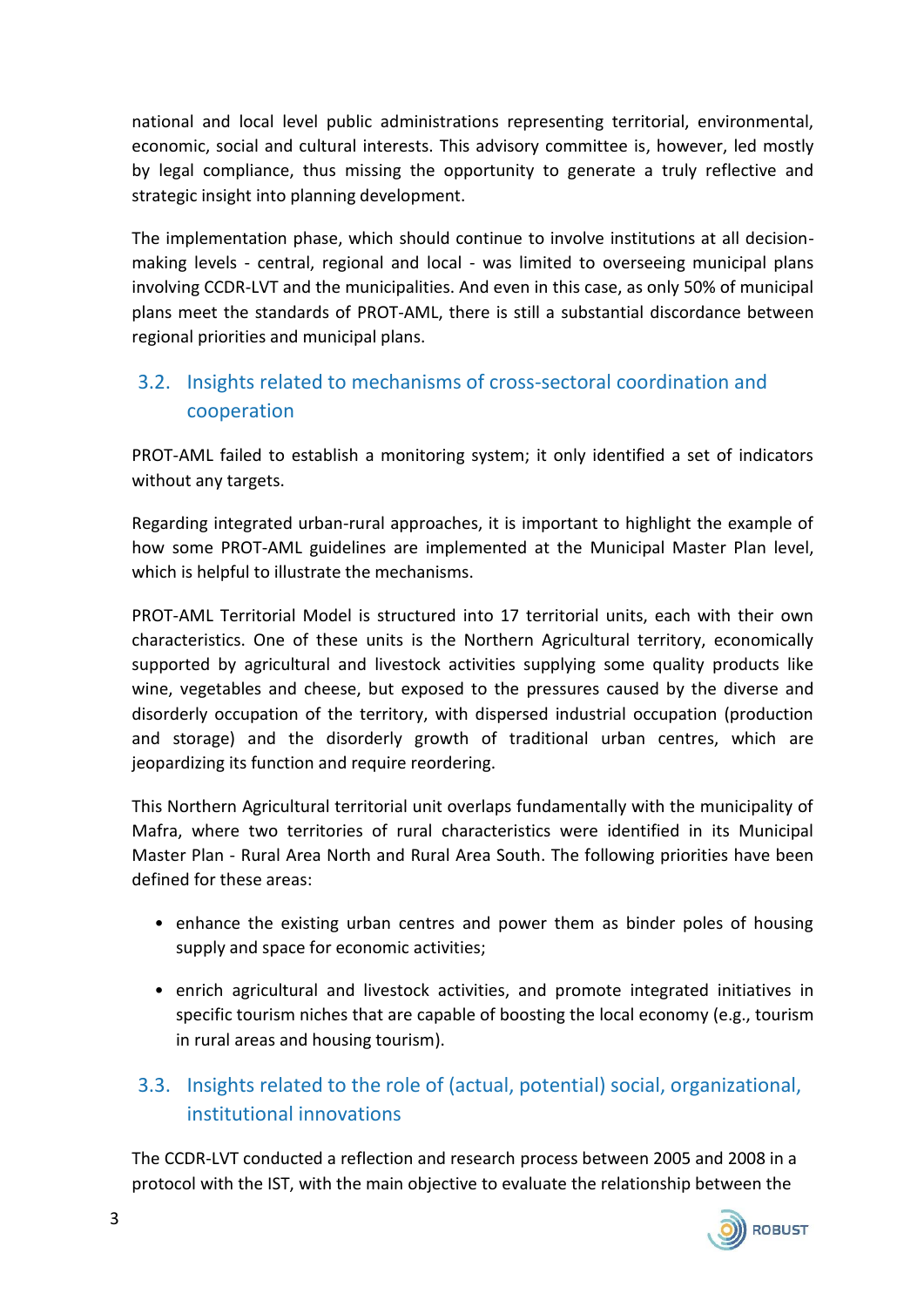national and local level public administrations representing territorial, environmental, economic, social and cultural interests. This advisory committee is, however, led mostly by legal compliance, thus missing the opportunity to generate a truly reflective and strategic insight into planning development.

The implementation phase, which should continue to involve institutions at all decisionmaking levels - central, regional and local - was limited to overseeing municipal plans involving CCDR-LVT and the municipalities. And even in this case, as only 50% of municipal plans meet the standards of PROT-AML, there is still a substantial discordance between regional priorities and municipal plans.

# 3.2. Insights related to mechanisms of cross-sectoral coordination and cooperation

PROT-AML failed to establish a monitoring system; it only identified a set of indicators without any targets.

Regarding integrated urban-rural approaches, it is important to highlight the example of how some PROT-AML guidelines are implemented at the Municipal Master Plan level, which is helpful to illustrate the mechanisms.

PROT-AML Territorial Model is structured into 17 territorial units, each with their own characteristics. One of these units is the Northern Agricultural territory, economically supported by agricultural and livestock activities supplying some quality products like wine, vegetables and cheese, but exposed to the pressures caused by the diverse and disorderly occupation of the territory, with dispersed industrial occupation (production and storage) and the disorderly growth of traditional urban centres, which are jeopardizing its function and require reordering.

This Northern Agricultural territorial unit overlaps fundamentally with the municipality of Mafra, where two territories of rural characteristics were identified in its Municipal Master Plan - Rural Area North and Rural Area South. The following priorities have been defined for these areas:

- enhance the existing urban centres and power them as binder poles of housing supply and space for economic activities;
- enrich agricultural and livestock activities, and promote integrated initiatives in specific tourism niches that are capable of boosting the local economy (e.g., tourism in rural areas and housing tourism).

# 3.3. Insights related to the role of (actual, potential) social, organizational, institutional innovations

The CCDR-LVT conducted a reflection and research process between 2005 and 2008 in a protocol with the IST, with the main objective to evaluate the relationship between the